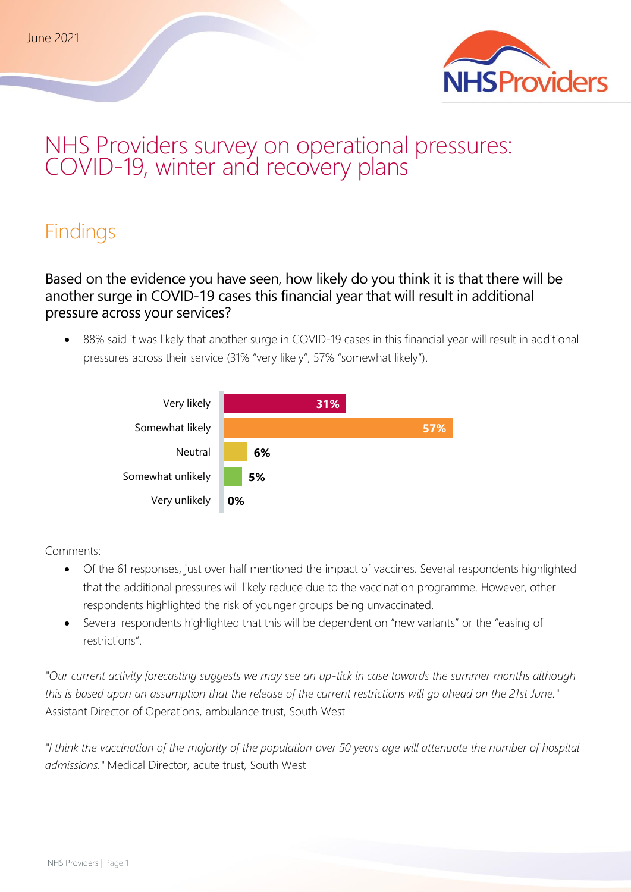

# NHS Providers survey on operational pressures: COVID-19, winter and recovery plans

# Findings

Based on the evidence you have seen, how likely do you think it is that there will be another surge in COVID-19 cases this financial year that will result in additional pressure across your services?

• 88% said it was likely that another surge in COVID-19 cases in this financial year will result in additional pressures across their service (31% "very likely", 57% "somewhat likely").



Comments:

- Of the 61 responses, just over half mentioned the impact of vaccines. Several respondents highlighted that the additional pressures will likely reduce due to the vaccination programme. However, other respondents highlighted the risk of younger groups being unvaccinated.
- Several respondents highlighted that this will be dependent on "new variants" or the "easing of restrictions".

*"Our current activity forecasting suggests we may see an up-tick in case towards the summer months although this is based upon an assumption that the release of the current restrictions will go ahead on the 21st June."*  Assistant Director of Operations, ambulance trust, South West

*"I think the vaccination of the majority of the population over 50 years age will attenuate the number of hospital admissions."* Medical Director, acute trust, South West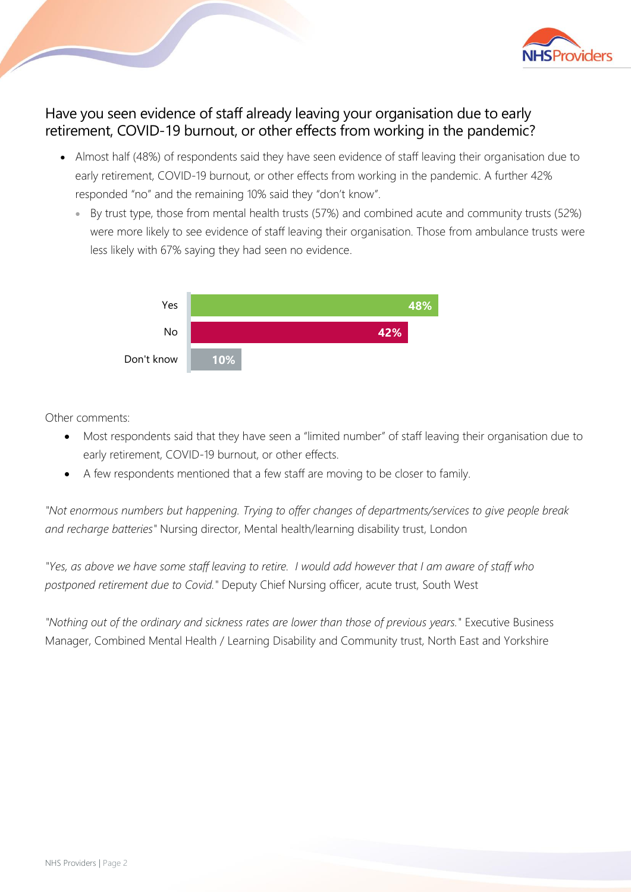

### Have you seen evidence of staff already leaving your organisation due to early retirement, COVID-19 burnout, or other effects from working in the pandemic?

- Almost half (48%) of respondents said they have seen evidence of staff leaving their organisation due to early retirement, COVID-19 burnout, or other effects from working in the pandemic. A further 42% responded "no" and the remaining 10% said they "don't know".
	- By trust type, those from mental health trusts (57%) and combined acute and community trusts (52%) were more likely to see evidence of staff leaving their organisation. Those from ambulance trusts were less likely with 67% saying they had seen no evidence.



Other comments:

- Most respondents said that they have seen a "limited number" of staff leaving their organisation due to early retirement, COVID-19 burnout, or other effects.
- A few respondents mentioned that a few staff are moving to be closer to family.

*"Not enormous numbers but happening. Trying to offer changes of departments/services to give people break and recharge batteries"* Nursing director, Mental health/learning disability trust, London

*"Yes, as above we have some staff leaving to retire. I would add however that I am aware of staff who postponed retirement due to Covid."* Deputy Chief Nursing officer, acute trust, South West

*"Nothing out of the ordinary and sickness rates are lower than those of previous years."* Executive Business Manager, Combined Mental Health / Learning Disability and Community trust, North East and Yorkshire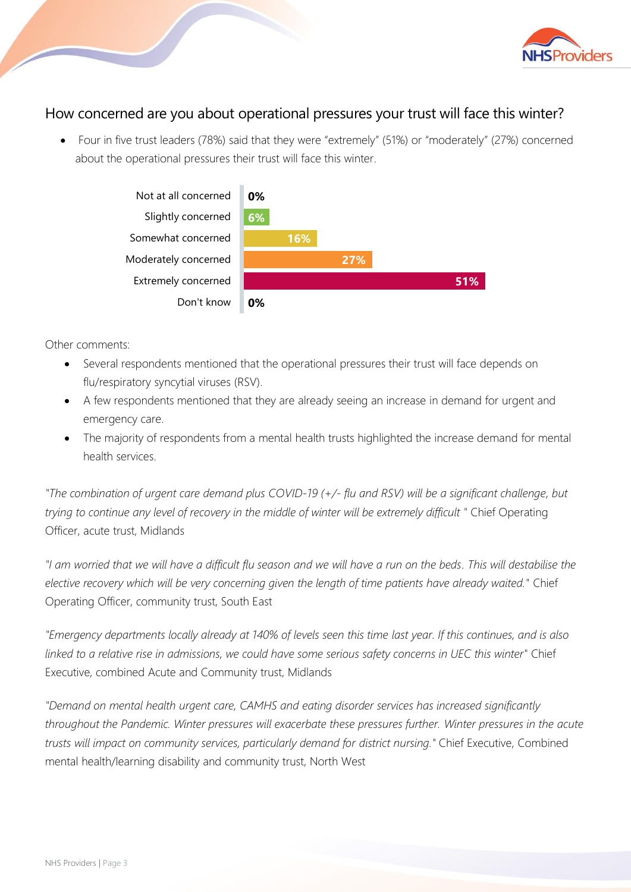

#### How concerned are you about operational pressures your trust will face this winter?

• Four in five trust leaders (78%) said that they were "extremely" (51%) or "moderately" (27%) concerned about the operational pressures their trust will face this winter.



Other comments:

- Several respondents mentioned that the operational pressures their trust will face depends on flu/respiratory syncytial viruses (RSV).
- A few respondents mentioned that they are already seeing an increase in demand for urgent and emergency care.
- The majority of respondents from a mental health trusts highlighted the increase demand for mental health services.

*"The combination of urgent care demand plus COVID-19 (+/- flu and RSV) will be a significant challenge, but trying to continue any level of recovery in the middle of winter will be extremely difficult "* Chief Operating Officer, acute trust, Midlands

*"I am worried that we will have a difficult flu season and we will have a run on the beds. This will destabilise the elective recovery which will be very concerning given the length of time patients have already waited."* Chief Operating Officer, community trust, South East

*"Emergency departments locally already at 140% of levels seen this time last year. If this continues, and is also linked to a relative rise in admissions, we could have some serious safety concerns in UEC this winter"* Chief Executive, combined Acute and Community trust, Midlands

*"Demand on mental health urgent care, CAMHS and eating disorder services has increased significantly throughout the Pandemic. Winter pressures will exacerbate these pressures further. Winter pressures in the acute trusts will impact on community services, particularly demand for district nursing."* Chief Executive, Combined mental health/learning disability and community trust, North West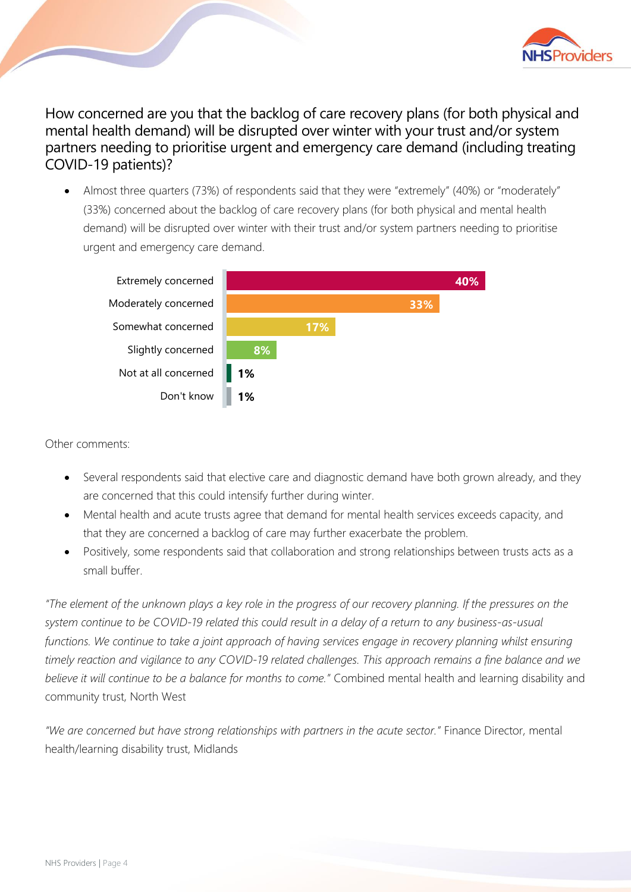

How concerned are you that the backlog of care recovery plans (for both physical and mental health demand) will be disrupted over winter with your trust and/or system partners needing to prioritise urgent and emergency care demand (including treating COVID-19 patients)?

• Almost three quarters (73%) of respondents said that they were "extremely" (40%) or "moderately" (33%) concerned about the backlog of care recovery plans (for both physical and mental health demand) will be disrupted over winter with their trust and/or system partners needing to prioritise urgent and emergency care demand.



Other comments:

- Several respondents said that elective care and diagnostic demand have both grown already, and they are concerned that this could intensify further during winter.
- Mental health and acute trusts agree that demand for mental health services exceeds capacity, and that they are concerned a backlog of care may further exacerbate the problem.
- Positively, some respondents said that collaboration and strong relationships between trusts acts as a small buffer.

*"The element of the unknown plays a key role in the progress of our recovery planning. If the pressures on the system continue to be COVID-19 related this could result in a delay of a return to any business-as-usual functions. We continue to take a joint approach of having services engage in recovery planning whilst ensuring timely reaction and vigilance to any COVID-19 related challenges. This approach remains a fine balance and we believe it will continue to be a balance for months to come."* Combined mental health and learning disability and community trust, North West

*"We are concerned but have strong relationships with partners in the acute sector."* Finance Director, mental health/learning disability trust, Midlands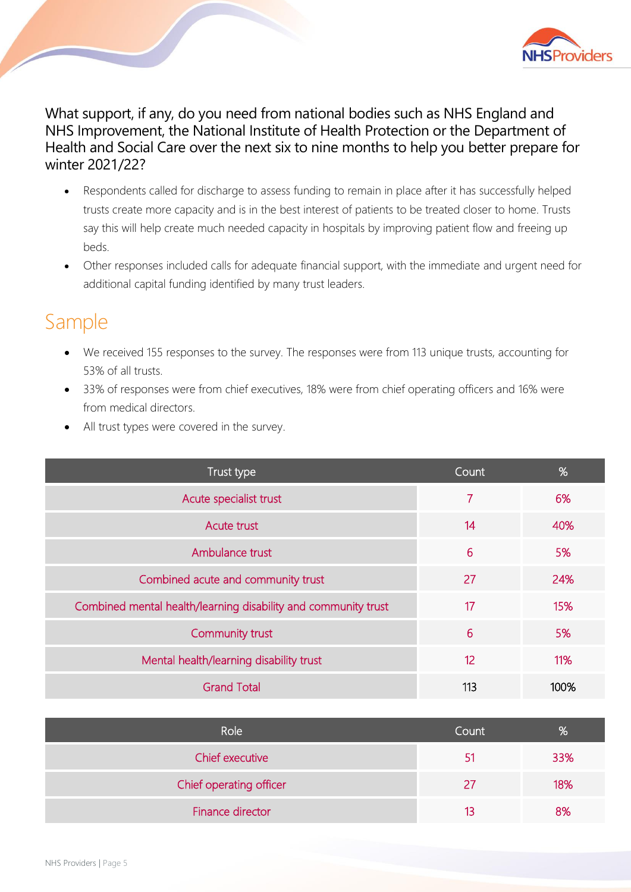

What support, if any, do you need from national bodies such as NHS England and NHS Improvement, the National Institute of Health Protection or the Department of Health and Social Care over the next six to nine months to help you better prepare for winter 2021/22?

- Respondents called for discharge to assess funding to remain in place after it has successfully helped trusts create more capacity and is in the best interest of patients to be treated closer to home. Trusts say this will help create much needed capacity in hospitals by improving patient flow and freeing up beds.
- Other responses included calls for adequate financial support, with the immediate and urgent need for additional capital funding identified by many trust leaders.

### Sample

- We received 155 responses to the survey. The responses were from 113 unique trusts, accounting for 53% of all trusts.
- 33% of responses were from chief executives, 18% were from chief operating officers and 16% were from medical directors.
- All trust types were covered in the survey.

| Trust type                                                     | Count. | %    |
|----------------------------------------------------------------|--------|------|
| Acute specialist trust                                         | 7      | 6%   |
| Acute trust                                                    | 14     | 40%  |
| Ambulance trust                                                | 6      | 5%   |
| Combined acute and community trust                             | 27     | 24%  |
| Combined mental health/learning disability and community trust | 17     | 15%  |
| Community trust                                                | 6      | 5%   |
| Mental health/learning disability trust                        | 12     | 11%  |
| <b>Grand Total</b>                                             | 113    | 100% |

| Role                    | Count | %   |
|-------------------------|-------|-----|
| Chief executive         | 51    | 33% |
| Chief operating officer | 27    | 18% |
| Finance director        | 13    | 8%  |